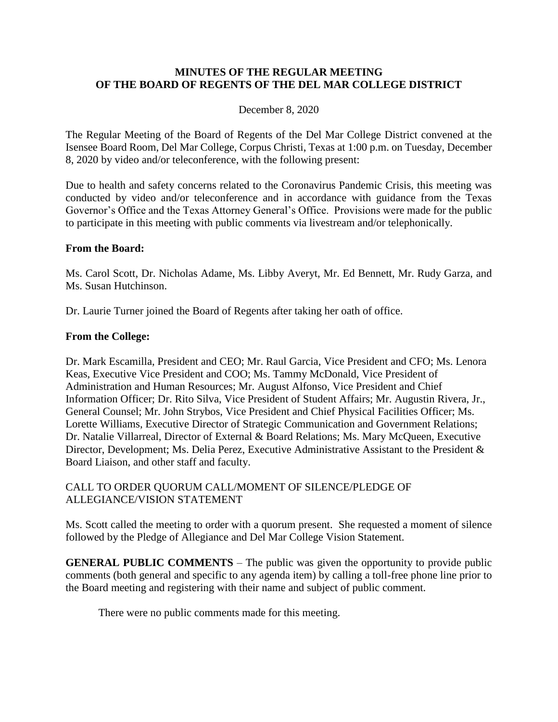#### **MINUTES OF THE REGULAR MEETING OF THE BOARD OF REGENTS OF THE DEL MAR COLLEGE DISTRICT**

#### December 8, 2020

 The Regular Meeting of the Board of Regents of the Del Mar College District convened at the Isensee Board Room, Del Mar College, Corpus Christi, Texas at 1:00 p.m. on Tuesday, December 8, 2020 by video and/or teleconference, with the following present:

 Governor's Office and the Texas Attorney General's Office. Provisions were made for the public Due to health and safety concerns related to the Coronavirus Pandemic Crisis, this meeting was conducted by video and/or teleconference and in accordance with guidance from the Texas to participate in this meeting with public comments via livestream and/or telephonically.

#### **From the Board:**

Ms. Carol Scott, Dr. Nicholas Adame, Ms. Libby Averyt, Mr. Ed Bennett, Mr. Rudy Garza, and Ms. Susan Hutchinson.

Dr. Laurie Turner joined the Board of Regents after taking her oath of office.

#### **From the College:**

Dr. Mark Escamilla, President and CEO; Mr. Raul Garcia, Vice President and CFO; Ms. Lenora Keas, Executive Vice President and COO; Ms. Tammy McDonald, Vice President of Administration and Human Resources; Mr. August Alfonso, Vice President and Chief Information Officer; Dr. Rito Silva, Vice President of Student Affairs; Mr. Augustin Rivera, Jr., General Counsel; Mr. John Strybos, Vice President and Chief Physical Facilities Officer; Ms. Lorette Williams, Executive Director of Strategic Communication and Government Relations; Dr. Natalie Villarreal, Director of External & Board Relations; Ms. Mary McQueen, Executive Director, Development; Ms. Delia Perez, Executive Administrative Assistant to the President & Board Liaison, and other staff and faculty.

#### CALL TO ORDER QUORUM CALL/MOMENT OF SILENCE/PLEDGE OF ALLEGIANCE/VISION STATEMENT

 Ms. Scott called the meeting to order with a quorum present. She requested a moment of silence followed by the Pledge of Allegiance and Del Mar College Vision Statement.

**GENERAL PUBLIC COMMENTS** – The public was given the opportunity to provide public comments (both general and specific to any agenda item) by calling a toll-free phone line prior to the Board meeting and registering with their name and subject of public comment.

There were no public comments made for this meeting.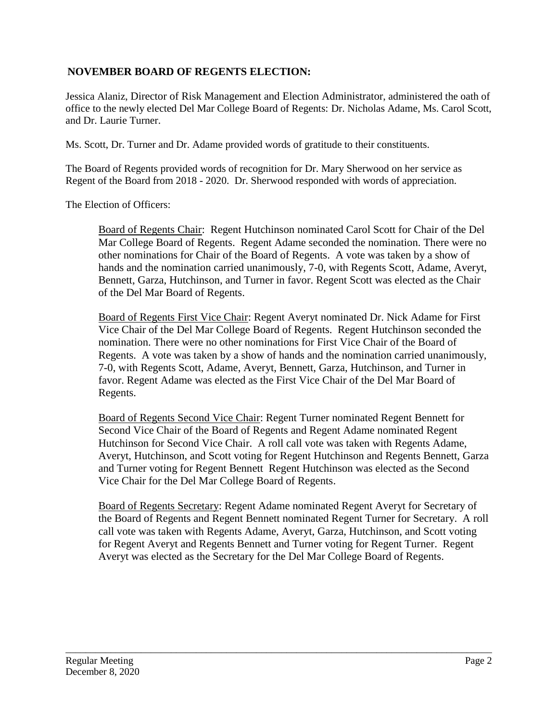### **NOVEMBER BOARD OF REGENTS ELECTION:**

Jessica Alaniz, Director of Risk Management and Election Administrator, administered the oath of office to the newly elected Del Mar College Board of Regents: Dr. Nicholas Adame, Ms. Carol Scott, and Dr. Laurie Turner.

Ms. Scott, Dr. Turner and Dr. Adame provided words of gratitude to their constituents.

The Board of Regents provided words of recognition for Dr. Mary Sherwood on her service as Regent of the Board from 2018 - 2020. Dr. Sherwood responded with words of appreciation.

The Election of Officers:

 other nominations for Chair of the Board of Regents. A vote was taken by a show of Board of Regents Chair: Regent Hutchinson nominated Carol Scott for Chair of the Del Mar College Board of Regents. Regent Adame seconded the nomination. There were no hands and the nomination carried unanimously, 7-0, with Regents Scott, Adame, Averyt, Bennett, Garza, Hutchinson, and Turner in favor. Regent Scott was elected as the Chair of the Del Mar Board of Regents.

 nomination. There were no other nominations for First Vice Chair of the Board of favor. Regent Adame was elected as the First Vice Chair of the Del Mar Board of Board of Regents First Vice Chair: Regent Averyt nominated Dr. Nick Adame for First Vice Chair of the Del Mar College Board of Regents. Regent Hutchinson seconded the Regents. A vote was taken by a show of hands and the nomination carried unanimously, 7-0, with Regents Scott, Adame, Averyt, Bennett, Garza, Hutchinson, and Turner in Regents.

 and Turner voting for Regent Bennett Regent Hutchinson was elected as the Second Board of Regents Second Vice Chair: Regent Turner nominated Regent Bennett for Second Vice Chair of the Board of Regents and Regent Adame nominated Regent Hutchinson for Second Vice Chair. A roll call vote was taken with Regents Adame, Averyt, Hutchinson, and Scott voting for Regent Hutchinson and Regents Bennett, Garza Vice Chair for the Del Mar College Board of Regents.

 for Regent Averyt and Regents Bennett and Turner voting for Regent Turner. Regent Board of Regents Secretary: Regent Adame nominated Regent Averyt for Secretary of the Board of Regents and Regent Bennett nominated Regent Turner for Secretary. A roll call vote was taken with Regents Adame, Averyt, Garza, Hutchinson, and Scott voting Averyt was elected as the Secretary for the Del Mar College Board of Regents.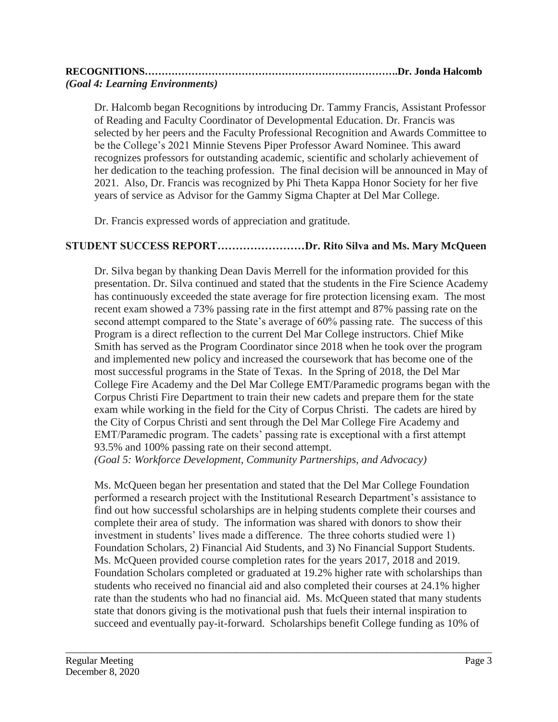| (Goal 4: Learning Environments) |  |
|---------------------------------|--|

 2021. Also, Dr. Francis was recognized by Phi Theta Kappa Honor Society for her five Dr. Halcomb began Recognitions by introducing Dr. Tammy Francis, Assistant Professor of Reading and Faculty Coordinator of Developmental Education. Dr. Francis was selected by her peers and the Faculty Professional Recognition and Awards Committee to be the College's 2021 Minnie Stevens Piper Professor Award Nominee. This award recognizes professors for outstanding academic, scientific and scholarly achievement of her dedication to the teaching profession. The final decision will be announced in May of years of service as Advisor for the Gammy Sigma Chapter at Del Mar College.

Dr. Francis expressed words of appreciation and gratitude.

# **STUDENT SUCCESS REPORT……………………Dr. Rito Silva and Ms. Mary McQueen**

Dr. Silva began by thanking Dean Davis Merrell for the information provided for this presentation. Dr. Silva continued and stated that the students in the Fire Science Academy has continuously exceeded the state average for fire protection licensing exam. The most recent exam showed a 73% passing rate in the first attempt and 87% passing rate on the second attempt compared to the State's average of 60% passing rate. The success of this Program is a direct reflection to the current Del Mar College instructors. Chief Mike Smith has served as the Program Coordinator since 2018 when he took over the program and implemented new policy and increased the coursework that has become one of the most successful programs in the State of Texas. In the Spring of 2018, the Del Mar College Fire Academy and the Del Mar College EMT/Paramedic programs began with the Corpus Christi Fire Department to train their new cadets and prepare them for the state exam while working in the field for the City of Corpus Christi. The cadets are hired by the City of Corpus Christi and sent through the Del Mar College Fire Academy and EMT/Paramedic program. The cadets' passing rate is exceptional with a first attempt 93.5% and 100% passing rate on their second attempt.

*(Goal 5: Workforce Development, Community Partnerships, and Advocacy)* 

Ms. McQueen began her presentation and stated that the Del Mar College Foundation performed a research project with the Institutional Research Department's assistance to find out how successful scholarships are in helping students complete their courses and complete their area of study. The information was shared with donors to show their investment in students' lives made a difference. The three cohorts studied were 1) Foundation Scholars, 2) Financial Aid Students, and 3) No Financial Support Students. Ms. McQueen provided course completion rates for the years 2017, 2018 and 2019. Foundation Scholars completed or graduated at 19.2% higher rate with scholarships than students who received no financial aid and also completed their courses at 24.1% higher rate than the students who had no financial aid. Ms. McQueen stated that many students state that donors giving is the motivational push that fuels their internal inspiration to succeed and eventually pay-it-forward. Scholarships benefit College funding as 10% of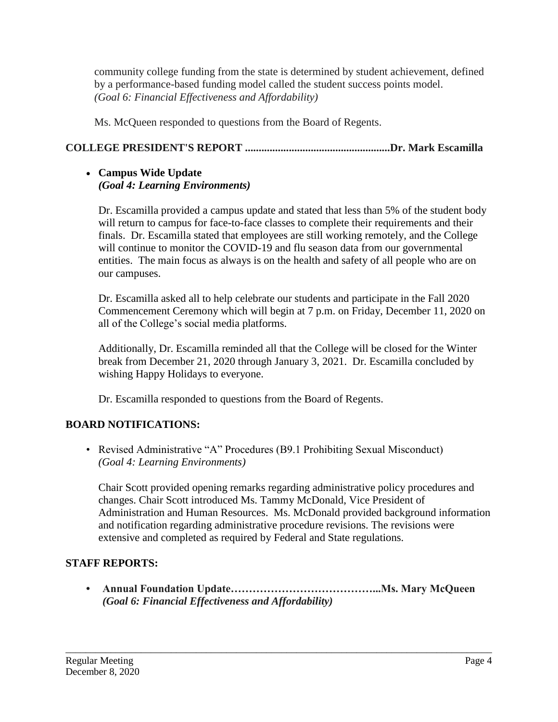community college funding from the state is determined by student achievement, defined by a performance-based funding model called the student success points model. *(Goal 6: Financial Effectiveness and Affordability)* 

Ms. McQueen responded to questions from the Board of Regents.

# **COLLEGE PRESIDENT'S REPORT .....................................................Dr. Mark Escamilla**

### **Campus Wide Update**  *(Goal 4: Learning Environments)*

Dr. Escamilla provided a campus update and stated that less than 5% of the student body will return to campus for face-to-face classes to complete their requirements and their finals. Dr. Escamilla stated that employees are still working remotely, and the College will continue to monitor the COVID-19 and flu season data from our governmental entities. The main focus as always is on the health and safety of all people who are on our campuses.

Dr. Escamilla asked all to help celebrate our students and participate in the Fall 2020 Commencement Ceremony which will begin at 7 p.m. on Friday, December 11, 2020 on all of the College's social media platforms.

Additionally, Dr. Escamilla reminded all that the College will be closed for the Winter break from December 21, 2020 through January 3, 2021. Dr. Escamilla concluded by wishing Happy Holidays to everyone.

Dr. Escamilla responded to questions from the Board of Regents.

# **BOARD NOTIFICATIONS:**

• Revised Administrative "A" Procedures (B9.1 Prohibiting Sexual Misconduct) *(Goal 4: Learning Environments)* 

Chair Scott provided opening remarks regarding administrative policy procedures and changes. Chair Scott introduced Ms. Tammy McDonald, Vice President of Administration and Human Resources. Ms. McDonald provided background information and notification regarding administrative procedure revisions. The revisions were extensive and completed as required by Federal and State regulations.

# **STAFF REPORTS:**

**• Annual Foundation [Update…………………………………...Ms](https://Update�������������...Ms). Mary McQueen** *(Goal 6: Financial Effectiveness and Affordability)*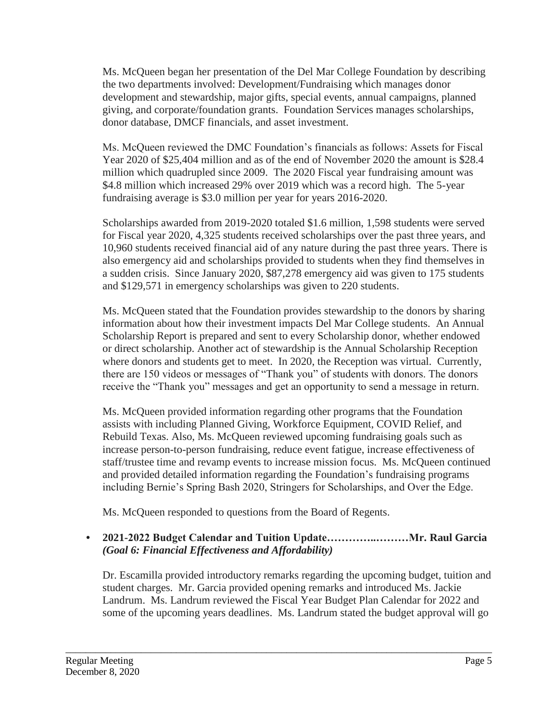Ms. McQueen began her presentation of the Del Mar College Foundation by describing the two departments involved: Development/Fundraising which manages donor development and stewardship, major gifts, special events, annual campaigns, planned giving, and corporate/foundation grants. Foundation Services manages scholarships, donor database, DMCF financials, and asset investment.

Ms. McQueen reviewed the DMC Foundation's financials as follows: Assets for Fiscal Year 2020 of \$25,404 million and as of the end of November 2020 the amount is \$28.4 million which quadrupled since 2009. The 2020 Fiscal year fundraising amount was \$4.8 million which increased 29% over 2019 which was a record high. The 5-year fundraising average is \$3.0 million per year for years 2016-2020.

Scholarships awarded from 2019-2020 totaled \$1.6 million, 1,598 students were served for Fiscal year 2020, 4,325 students received scholarships over the past three years, and 10,960 students received financial aid of any nature during the past three years. There is also emergency aid and scholarships provided to students when they find themselves in a sudden crisis. Since January 2020, \$87,278 emergency aid was given to 175 students and \$129,571 in emergency scholarships was given to 220 students.

Ms. McQueen stated that the Foundation provides stewardship to the donors by sharing information about how their investment impacts Del Mar College students. An Annual Scholarship Report is prepared and sent to every Scholarship donor, whether endowed or direct scholarship. Another act of stewardship is the Annual Scholarship Reception where donors and students get to meet. In 2020, the Reception was virtual. Currently, there are 150 videos or messages of "Thank you" of students with donors. The donors receive the "Thank you" messages and get an opportunity to send a message in return.

Ms. McQueen provided information regarding other programs that the Foundation assists with including Planned Giving, Workforce Equipment, COVID Relief, and Rebuild Texas. Also, Ms. McQueen reviewed upcoming fundraising goals such as increase person-to-person fundraising, reduce event fatigue, increase effectiveness of staff/trustee time and revamp events to increase mission focus. Ms. McQueen continued and provided detailed information regarding the Foundation's fundraising programs including Bernie's Spring Bash 2020, Stringers for Scholarships, and Over the Edge.

Ms. McQueen responded to questions from the Board of Regents.

# **• 2021-2022 Budget Calendar and Tuition Update…………..………Mr. Raul Garcia**  *(Goal 6: Financial Effectiveness and Affordability)*

Dr. Escamilla provided introductory remarks regarding the upcoming budget, tuition and student charges. Mr. Garcia provided opening remarks and introduced Ms. Jackie Landrum. Ms. Landrum reviewed the Fiscal Year Budget Plan Calendar for 2022 and some of the upcoming years deadlines. Ms. Landrum stated the budget approval will go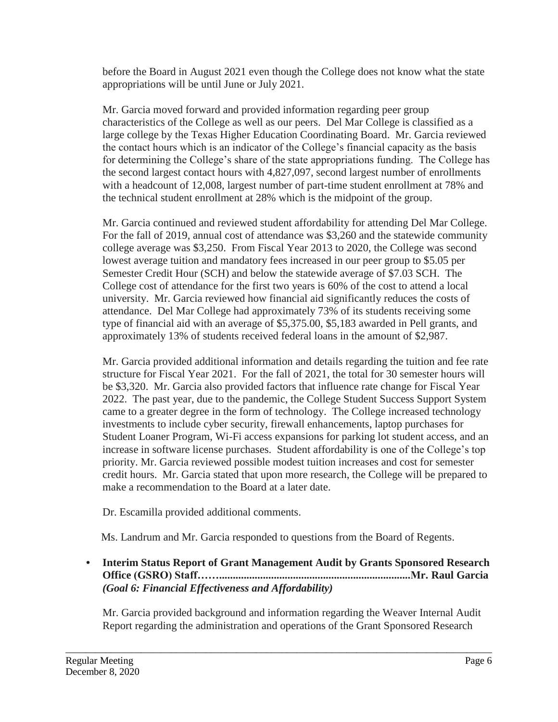before the Board in August 2021 even though the College does not know what the state appropriations will be until June or July 2021.

Mr. Garcia moved forward and provided information regarding peer group characteristics of the College as well as our peers. Del Mar College is classified as a large college by the Texas Higher Education Coordinating Board. Mr. Garcia reviewed the contact hours which is an indicator of the College's financial capacity as the basis for determining the College's share of the state appropriations funding. The College has the second largest contact hours with 4,827,097, second largest number of enrollments with a headcount of 12,008, largest number of part-time student enrollment at 78% and the technical student enrollment at 28% which is the midpoint of the group.

 Mr. Garcia continued and reviewed student affordability for attending Del Mar College. For the fall of 2019, annual cost of attendance was \$3,260 and the statewide community college average was \$3,250. From Fiscal Year 2013 to 2020, the College was second lowest average tuition and mandatory fees increased in our peer group to \$5.05 per Semester Credit Hour (SCH) and below the statewide average of \$7.03 SCH. The College cost of attendance for the first two years is 60% of the cost to attend a local university. Mr. Garcia reviewed how financial aid significantly reduces the costs of attendance. Del Mar College had approximately 73% of its students receiving some type of financial aid with an average of \$[5,375.00,](https://5,375.00) \$5,183 awarded in Pell grants, and approximately 13% of students received federal loans in the amount of \$2,987.

 be \$3,320. Mr. Garcia also provided factors that influence rate change for Fiscal Year Mr. Garcia provided additional information and details regarding the tuition and fee rate structure for Fiscal Year 2021. For the fall of 2021, the total for 30 semester hours will 2022. The past year, due to the pandemic, the College Student Success Support System came to a greater degree in the form of technology. The College increased technology investments to include cyber security, firewall enhancements, laptop purchases for Student Loaner Program, Wi-Fi access expansions for parking lot student access, and an increase in software license purchases. Student affordability is one of the College's top priority. Mr. Garcia reviewed possible modest tuition increases and cost for semester credit hours. Mr. Garcia stated that upon more research, the College will be prepared to make a recommendation to the Board at a later date.

Dr. Escamilla provided additional comments.

Ms. Landrum and Mr. Garcia responded to questions from the Board of Regents.

## **• Interim Status Report of Grant Management Audit by Grants Sponsored Research Office (GSRO) [Staff……......................................................................Mr](https://Staff��......................................................................Mr). Raul Garcia**  *(Goal 6: Financial Effectiveness and Affordability)*

Mr. Garcia provided background and information regarding the Weaver Internal Audit Report regarding the administration and operations of the Grant Sponsored Research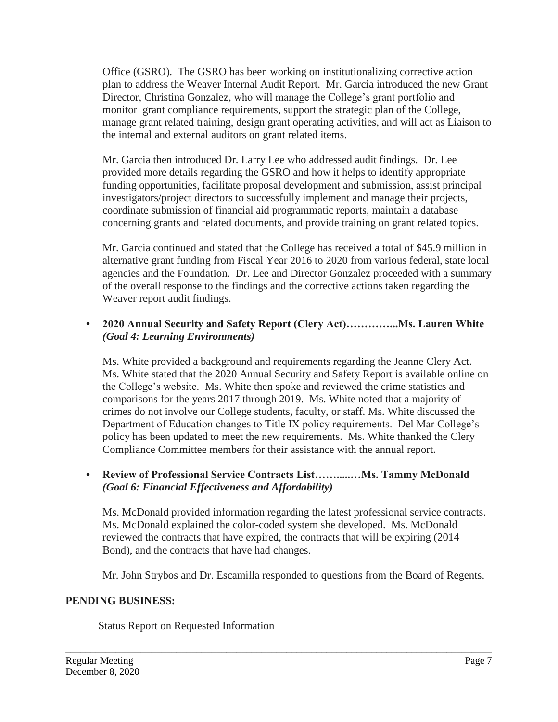Office (GSRO). The GSRO has been working on institutionalizing corrective action plan to address the Weaver Internal Audit Report. Mr. Garcia introduced the new Grant Director, Christina Gonzalez, who will manage the College's grant portfolio and monitor grant compliance requirements, support the strategic plan of the College, manage grant related training, design grant operating activities, and will act as Liaison to the internal and external auditors on grant related items.

Mr. Garcia then introduced Dr. Larry Lee who addressed audit findings. Dr. Lee provided more details regarding the GSRO and how it helps to identify appropriate funding opportunities, facilitate proposal development and submission, assist principal investigators/project directors to successfully implement and manage their projects, coordinate submission of financial aid programmatic reports, maintain a database concerning grants and related documents, and provide training on grant related topics.

Mr. Garcia continued and stated that the College has received a total of \$45.9 million in alternative grant funding from Fiscal Year 2016 to 2020 from various federal, state local agencies and the Foundation. Dr. Lee and Director Gonzalez proceeded with a summary of the overall response to the findings and the corrective actions taken regarding the Weaver report audit findings.

## **• 2020 Annual Security and Safety Report (Clery [Act\)…………...Ms.](https://Act)����...Ms) Lauren White** *(Goal 4: Learning Environments)*

 Department of Education changes to Title IX policy requirements. Del Mar College's Ms. White provided a background and requirements regarding the Jeanne Clery Act. Ms. White stated that the 2020 Annual Security and Safety Report is available online on the College's website. Ms. White then spoke and reviewed the crime statistics and comparisons for the years 2017 through 2019. Ms. White noted that a majority of crimes do not involve our College students, faculty, or staff. Ms. White discussed the policy has been updated to meet the new requirements. Ms. White thanked the Clery Compliance Committee members for their assistance with the annual report.

## **• Review of Professional Service Contracts List…….....…Ms. Tammy McDonald** *(Goal 6: Financial Effectiveness and Affordability)*

 reviewed the contracts that have expired, the contracts that will be expiring (2014 Ms. McDonald provided information regarding the latest professional service contracts. Ms. McDonald explained the color-coded system she developed. Ms. McDonald Bond), and the contracts that have had changes.

Mr. John Strybos and Dr. Escamilla responded to questions from the Board of Regents.

\_\_\_\_\_\_\_\_\_\_\_\_\_\_\_\_\_\_\_\_\_\_\_\_\_\_\_\_\_\_\_\_\_\_\_\_\_\_\_\_\_\_\_\_\_\_\_\_\_\_\_\_\_\_\_\_\_\_\_\_\_\_\_\_\_\_\_\_\_\_\_\_\_\_\_\_\_\_\_\_\_\_\_\_\_

# **PENDING BUSINESS:**

Status Report on Requested Information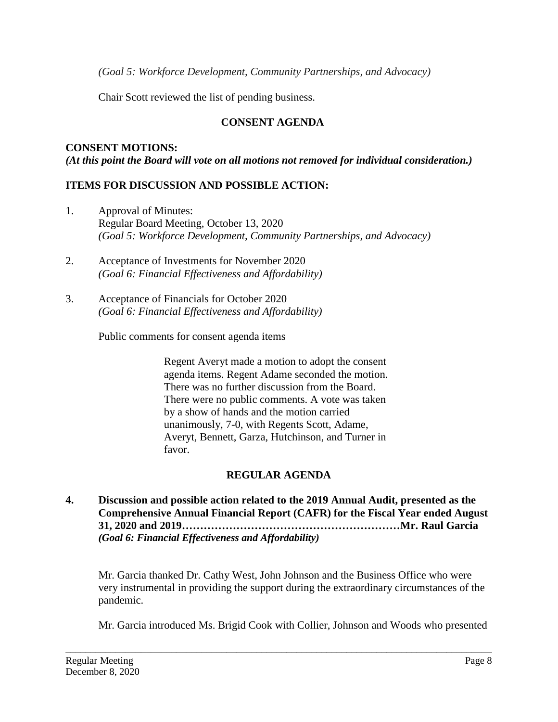*(Goal 5: Workforce Development, Community Partnerships, and Advocacy)* 

Chair Scott reviewed the list of pending business.

# **CONSENT AGENDA**

## **CONSENT MOTIONS:**  *(At this point the Board will vote on all motions not removed for individual consideration.)*

## **ITEMS FOR DISCUSSION AND POSSIBLE ACTION:**

- 1. Approval of Minutes: Regular Board Meeting, October 13, 2020 *(Goal 5: Workforce Development, Community Partnerships, and Advocacy)*
- 2. Acceptance of Investments for November 2020 *(Goal 6: Financial Effectiveness and Affordability)*
- 3. Acceptance of Financials for October 2020 *(Goal 6: Financial Effectiveness and Affordability)*

Public comments for consent agenda items

Regent Averyt made a motion to adopt the consent agenda items. Regent Adame seconded the motion. There was no further discussion from the Board. There were no public comments. A vote was taken by a show of hands and the motion carried unanimously, 7-0, with Regents Scott, Adame, Averyt, Bennett, Garza, Hutchinson, and Turner in favor.

# **REGULAR AGENDA**

**4. Discussion and possible action related to the 2019 Annual Audit, presented as the Comprehensive Annual Financial Report (CAFR) for the Fiscal Year ended August 31, 2020 and 2019……………………………………………………Mr. Raul Garcia**  *(Goal 6: Financial Effectiveness and Affordability)* 

Mr. Garcia thanked Dr. Cathy West, John Johnson and the Business Office who were very instrumental in providing the support during the extraordinary circumstances of the pandemic.

Mr. Garcia introduced Ms. Brigid Cook with Collier, Johnson and Woods who presented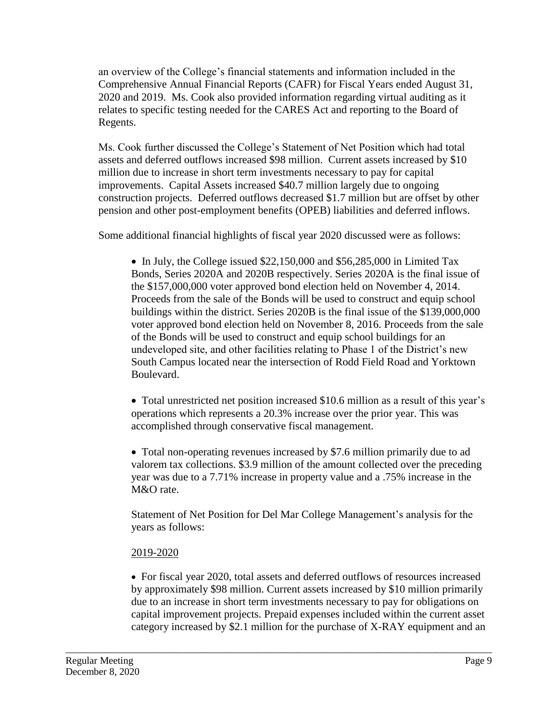relates to specific testing needed for the CARES Act and reporting to the Board of an overview of the College's financial statements and information included in the Comprehensive Annual Financial Reports (CAFR) for Fiscal Years ended August 31, 2020 and 2019. Ms. Cook also provided information regarding virtual auditing as it Regents.

 pension and other post-employment benefits (OPEB) liabilities and deferred inflows. Some additional financial highlights of fiscal year 2020 discussed were as follows: Ms. Cook further discussed the College's Statement of Net Position which had total assets and deferred outflows increased \$98 million. Current assets increased by \$10 million due to increase in short term investments necessary to pay for capital improvements. Capital Assets increased \$40.7 million largely due to ongoing construction projects. Deferred outflows decreased \$1.7 million but are offset by other

• In July, the College issued \$22,150,000 and \$56,285,000 in Limited Tax Bonds, Series 2020A and 2020B respectively. Series 2020A is the final issue of the \$157,000,000 voter approved bond election held on November 4, 2014. Proceeds from the sale of the Bonds will be used to construct and equip school buildings within the district. Series 2020B is the final issue of the \$139,000,000 voter approved bond election held on November 8, 2016. Proceeds from the sale of the Bonds will be used to construct and equip school buildings for an undeveloped site, and other facilities relating to Phase 1 of the District's new South Campus located near the intersection of Rodd Field Road and Yorktown Boulevard.

 Total unrestricted net position increased \$10.6 million as a result of this year's operations which represents a 20.3% increase over the prior year. This was accomplished through conservative fiscal management.

• Total non-operating revenues increased by \$7.6 million primarily due to ad valorem tax collections. \$3.9 million of the amount collected over the preceding year was due to a 7.71% increase in property value and a .75% increase in the M&O rate.

Statement of Net Position for Del Mar College Management's analysis for the years as follows:

# 2019-2020

 For fiscal year 2020, total assets and deferred outflows of resources increased by approximately \$98 million. Current assets increased by \$10 million primarily due to an increase in short term investments necessary to pay for obligations on capital improvement projects. Prepaid expenses included within the current asset category increased by \$2.1 million for the purchase of X-RAY equipment and an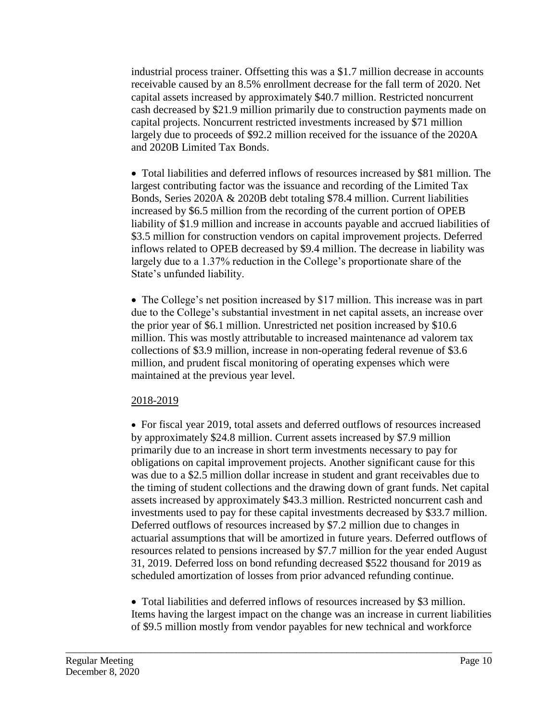industrial process trainer. Offsetting this was a \$1.7 million decrease in accounts receivable caused by an 8.5% enrollment decrease for the fall term of 2020. Net capital assets increased by approximately \$40.7 million. Restricted noncurrent cash decreased by \$21.9 million primarily due to construction payments made on capital projects. Noncurrent restricted investments increased by \$71 million largely due to proceeds of \$92.2 million received for the issuance of the 2020A and 2020B Limited Tax Bonds.

 largest contributing factor was the issuance and recording of the Limited Tax Total liabilities and deferred inflows of resources increased by \$81 million. The Bonds, Series 2020A & 2020B debt totaling \$78.4 million. Current liabilities increased by \$6.5 million from the recording of the current portion of OPEB liability of \$1.9 million and increase in accounts payable and accrued liabilities of \$3.5 million for construction vendors on capital improvement projects. Deferred inflows related to OPEB decreased by \$9.4 million. The decrease in liability was largely due to a 1.37% reduction in the College's proportionate share of the State's unfunded liability.

• The College's net position increased by \$17 million. This increase was in part due to the College's substantial investment in net capital assets, an increase over the prior year of \$6.1 million. Unrestricted net position increased by \$10.6 million. This was mostly attributable to increased maintenance ad valorem tax collections of \$3.9 million, increase in non-operating federal revenue of \$3.6 million, and prudent fiscal monitoring of operating expenses which were maintained at the previous year level.

### 2018-2019

 the timing of student collections and the drawing down of grant funds. Net capital For fiscal year 2019, total assets and deferred outflows of resources increased by approximately \$24.8 million. Current assets increased by \$7.9 million primarily due to an increase in short term investments necessary to pay for obligations on capital improvement projects. Another significant cause for this was due to a \$2.5 million dollar increase in student and grant receivables due to assets increased by approximately \$43.3 million. Restricted noncurrent cash and investments used to pay for these capital investments decreased by \$33.7 million. Deferred outflows of resources increased by \$7.2 million due to changes in actuarial assumptions that will be amortized in future years. Deferred outflows of resources related to pensions increased by \$7.7 million for the year ended August 31, 2019. Deferred loss on bond refunding decreased \$522 thousand for 2019 as scheduled amortization of losses from prior advanced refunding continue.

 Total liabilities and deferred inflows of resources increased by \$3 million. Items having the largest impact on the change was an increase in current liabilities of \$9.5 million mostly from vendor payables for new technical and workforce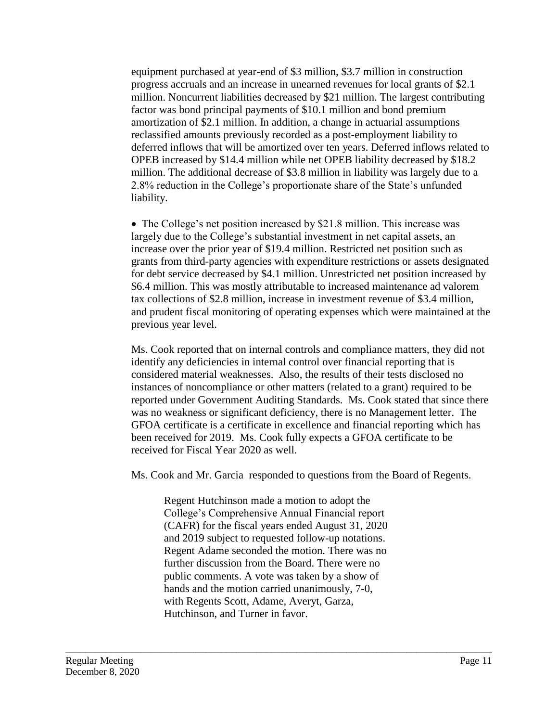equipment purchased at year-end of \$3 million, \$3.7 million in construction progress accruals and an increase in unearned revenues for local grants of \$2.1 million. Noncurrent liabilities decreased by \$21 million. The largest contributing factor was bond principal payments of \$10.1 million and bond premium amortization of \$2.1 million. In addition, a change in actuarial assumptions reclassified amounts previously recorded as a post-employment liability to deferred inflows that will be amortized over ten years. Deferred inflows related to OPEB increased by \$14.4 million while net OPEB liability decreased by \$18.2 million. The additional decrease of \$3.8 million in liability was largely due to a 2.8% reduction in the College's proportionate share of the State's unfunded liability.

 The College's net position increased by \$21.8 million. This increase was largely due to the College's substantial investment in net capital assets, an increase over the prior year of \$19.4 million. Restricted net position such as grants from third-party agencies with expenditure restrictions or assets designated for debt service decreased by \$4.1 million. Unrestricted net position increased by \$6.4 million. This was mostly attributable to increased maintenance ad valorem tax collections of \$2.8 million, increase in investment revenue of \$3.4 million, and prudent fiscal monitoring of operating expenses which were maintained at the previous year level.

Ms. Cook reported that on internal controls and compliance matters, they did not identify any deficiencies in internal control over financial reporting that is considered material weaknesses. Also, the results of their tests disclosed no instances of noncompliance or other matters (related to a grant) required to be reported under Government Auditing Standards. Ms. Cook stated that since there was no weakness or significant deficiency, there is no Management letter. The GFOA certificate is a certificate in excellence and financial reporting which has been received for 2019. Ms. Cook fully expects a GFOA certificate to be received for Fiscal Year 2020 as well.

Ms. Cook and Mr. Garcia responded to questions from the Board of Regents.

 public comments. A vote was taken by a show of Regent Hutchinson made a motion to adopt the College's Comprehensive Annual Financial report (CAFR) for the fiscal years ended August 31, 2020 and 2019 subject to requested follow-up notations. Regent Adame seconded the motion. There was no further discussion from the Board. There were no hands and the motion carried unanimously, 7-0, with Regents Scott, Adame, Averyt, Garza, Hutchinson, and Turner in favor.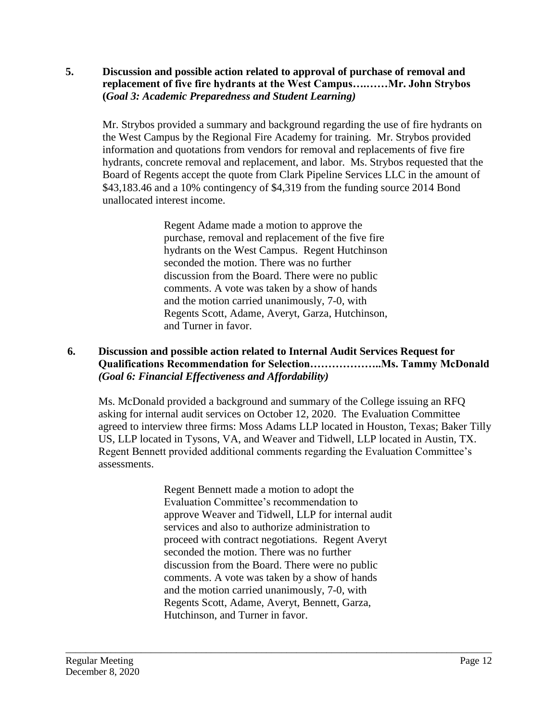#### **5. Discussion and possible action related to approval of purchase of removal and replacement of five fire hydrants at the West Campus….……Mr. John Strybos (***Goal 3: Academic Preparedness and Student Learning)*

 Mr. Strybos provided a summary and background regarding the use of fire hydrants on the West Campus by the Regional Fire Academy for training. Mr. Strybos provided information and quotations from vendors for removal and replacements of five fire hydrants, concrete removal and replacement, and labor. Ms. Strybos requested that the Board of Regents accept the quote from Clark Pipeline Services LLC in the amount of \$[43,183.46](https://43,183.46) and a 10% contingency of \$4,319 from the funding source 2014 Bond unallocated interest income.

> Regent Adame made a motion to approve the purchase, removal and replacement of the five fire hydrants on the West Campus. Regent Hutchinson seconded the motion. There was no further discussion from the Board. There were no public comments. A vote was taken by a show of hands and the motion carried unanimously, 7-0, with Regents Scott, Adame, Averyt, Garza, Hutchinson, and Turner in favor.

## **6. Discussion and possible action related to Internal Audit Services Request for Qualifications Recommendation for [Selection………………..Ms](https://Selection������..Ms). Tammy McDonald** *(Goal 6: Financial Effectiveness and Affordability)*

Ms. McDonald provided a background and summary of the College issuing an RFQ asking for internal audit services on October 12, 2020. The Evaluation Committee agreed to interview three firms: Moss Adams LLP located in Houston, Texas; Baker Tilly US, LLP located in Tysons, VA, and Weaver and Tidwell, LLP located in Austin, TX. Regent Bennett provided additional comments regarding the Evaluation Committee's assessments.

> Regent Bennett made a motion to adopt the Evaluation Committee's recommendation to approve Weaver and Tidwell, LLP for internal audit services and also to authorize administration to proceed with contract negotiations. Regent Averyt seconded the motion. There was no further discussion from the Board. There were no public comments. A vote was taken by a show of hands and the motion carried unanimously, 7-0, with Regents Scott, Adame, Averyt, Bennett, Garza, Hutchinson, and Turner in favor.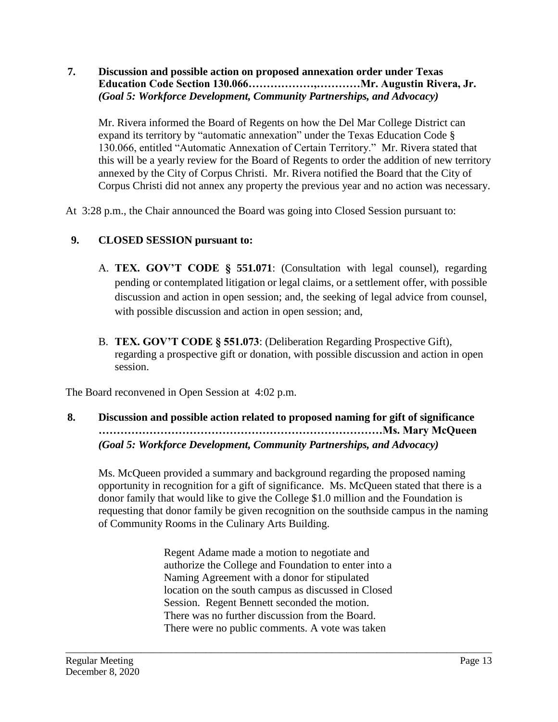### **7. Discussion and possible action on proposed annexation order under Texas Education Code Section 130.066………………,…………Mr. Augustin Rivera, Jr.** *(Goal 5: Workforce Development, Community Partnerships, and Advocacy)*

 130.066, entitled "Automatic Annexation of Certain Territory." Mr. Rivera stated that Mr. Rivera informed the Board of Regents on how the Del Mar College District can expand its territory by "automatic annexation" under the Texas Education Code § this will be a yearly review for the Board of Regents to order the addition of new territory annexed by the City of Corpus Christi. Mr. Rivera notified the Board that the City of Corpus Christi did not annex any property the previous year and no action was necessary.

At 3:28 p.m., the Chair announced the Board was going into Closed Session pursuant to:

# **9. CLOSED SESSION pursuant to:**

- A. **TEX. GOV'T CODE § 551.071**: (Consultation with legal counsel), regarding pending or contemplated litigation or legal claims, or a settlement offer, with possible discussion and action in open session; and, the seeking of legal advice from counsel, with possible discussion and action in open session; and,
- B. **TEX. GOV'T CODE § 551.073**: (Deliberation Regarding Prospective Gift), regarding a prospective gift or donation, with possible discussion and action in open session.

The Board reconvened in Open Session at 4:02 p.m.

**8. Discussion and possible action related to proposed naming for gift of significance ……………………………………………………………………Ms. Mary McQueen** *(Goal 5: Workforce Development, Community Partnerships, and Advocacy)* 

Ms. McQueen provided a summary and background regarding the proposed naming opportunity in recognition for a gift of significance. Ms. McQueen stated that there is a donor family that would like to give the College \$1.0 million and the Foundation is requesting that donor family be given recognition on the southside campus in the naming of Community Rooms in the Culinary Arts Building.

> Regent Adame made a motion to negotiate and authorize the College and Foundation to enter into a Naming Agreement with a donor for stipulated location on the south campus as discussed in Closed Session. Regent Bennett seconded the motion. There was no further discussion from the Board. There were no public comments. A vote was taken